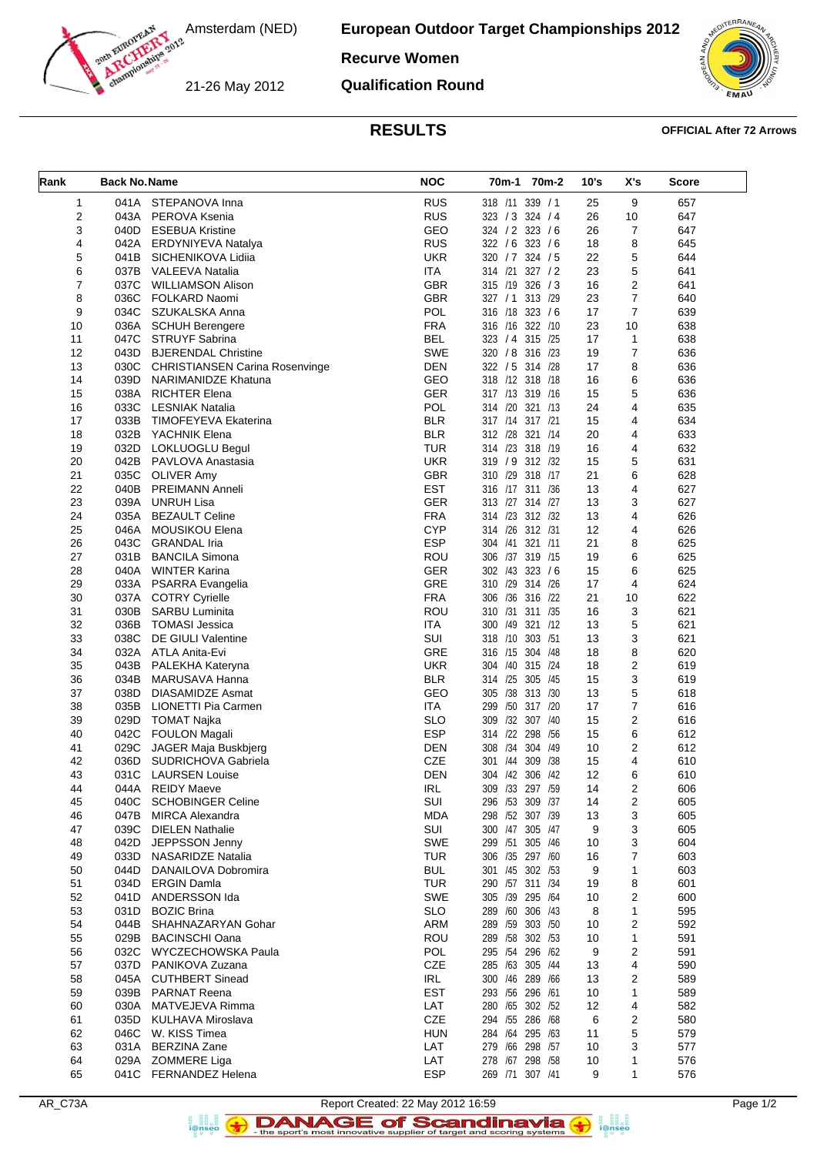Amsterdam (NED)

**European Outdoor Target Championships 2012**

# **Recurve Women**

21-26 May 2012

**Qualification Round**



### **RESULTS OFFICIAL After 72 Arrows**

| Rank           | <b>Back No. Name</b> |                                              | <b>NOC</b> | 70m-1 70m-2           | 10's | X's                     | <b>Score</b> |
|----------------|----------------------|----------------------------------------------|------------|-----------------------|------|-------------------------|--------------|
| 1              | 041A                 | STEPANOVA Inna                               | <b>RUS</b> | 318 /11 339 / 1       | 25   | 9                       | 657          |
| 2              | 043A                 | PEROVA Ksenia                                | <b>RUS</b> | 323 / 3 324 / 4       | 26   | 10                      | 647          |
| 3              | 040D                 | <b>ESEBUA Kristine</b>                       | GEO        | 324 / 2 323 / 6       | 26   | 7                       | 647          |
| 4              | 042A                 | ERDYNIYEVA Natalya                           | <b>RUS</b> | 322 / 6 323 / 6       | 18   | 8                       | 645          |
| 5              | 041B                 | SICHENIKOVA Lidiia                           | <b>UKR</b> | 320 / 7 324 / 5       | 22   | 5                       | 644          |
| 6              | 037B                 | VALEEVA Natalia                              | <b>ITA</b> | 327 / 2<br>314 /21    | 23   | 5                       | 641          |
| $\overline{7}$ | 037C                 | <b>WILLIAMSON Alison</b>                     | <b>GBR</b> | 315 /19 326 / 3       | 16   | 2                       | 641          |
| 8              | 036C                 | FOLKARD Naomi                                | <b>GBR</b> | 327 / 1 313 / 29      | 23   | $\overline{7}$          | 640          |
| 9              | 034C                 | SZUKALSKA Anna                               | <b>POL</b> | 316 /18<br>323 / 6    | 17   | $\overline{7}$          | 639          |
| 10             | 036A                 | <b>SCHUH Berengere</b>                       | <b>FRA</b> | 316 /16 322 /10       | 23   | 10                      | 638          |
| 11             | 047C                 | STRUYF Sabrina                               | <b>BEL</b> | 323 / 4 315 / 25      | 17   | $\mathbf{1}$            | 638          |
| 12             | 043D                 | <b>BJERENDAL Christine</b>                   | <b>SWE</b> | 320 / 8 316 /23       | 19   | $\overline{7}$          | 636          |
| 13             | 030C                 | <b>CHRISTIANSEN Carina Rosenvinge</b>        | DEN        | 322 / 5 314 /28       | 17   | 8                       | 636          |
| 14             | 039D                 | NARIMANIDZE Khatuna                          | GEO        | 318 /12 318 /18       | 16   | 6                       | 636          |
| 15             | 038A                 | <b>RICHTER Elena</b>                         | <b>GER</b> | 317 /13 319 /16       | 15   | 5                       | 636          |
| 16             | 033C                 | LESNIAK Natalia                              | <b>POL</b> | 314 /20 321 /13       | 24   | 4                       | 635          |
| 17             | 033B                 |                                              | <b>BLR</b> | 317 /14 317 /21       | 15   | 4                       | 634          |
|                |                      | <b>TIMOFEYEVA Ekaterina</b><br>YACHNIK Elena | <b>BLR</b> |                       |      | $\overline{4}$          |              |
| 18             | 032B                 |                                              |            | 312 /28 321 /14       | 20   |                         | 633          |
| 19             | 032D                 | LOKLUOGLU Begul                              | <b>TUR</b> | 314 /23 318 /19       | 16   | 4                       | 632          |
| 20             | 042B                 | PAVLOVA Anastasia                            | <b>UKR</b> | 319 / 9 312 /32       | 15   | 5                       | 631          |
| 21             | 035C                 | <b>OLIVER Amy</b>                            | <b>GBR</b> | 310 /29 318 /17       | 21   | 6                       | 628          |
| 22             | 040B                 | <b>PREIMANN Anneli</b>                       | <b>EST</b> | 316 /17 311 /36       | 13   | 4                       | 627          |
| 23             | 039A                 | <b>UNRUH Lisa</b>                            | <b>GER</b> | 313 /27 314 /27       | 13   | 3                       | 627          |
| 24             | 035A                 | <b>BEZAULT Celine</b>                        | <b>FRA</b> | 314 /23 312 /32       | 13   | 4                       | 626          |
| 25             | 046A                 | <b>MOUSIKOU Elena</b>                        | <b>CYP</b> | 314 /26 312 /31       | 12   | 4                       | 626          |
| 26             | 043C                 | <b>GRANDAL</b> Iria                          | <b>ESP</b> | 321 /11<br>304 /41    | 21   | 8                       | 625          |
| 27             | 031B                 | <b>BANCILA Simona</b>                        | <b>ROU</b> | 306 /37 319 /15       | 19   | 6                       | 625          |
| 28             | 040A                 | <b>WINTER Karina</b>                         | <b>GER</b> | 302 /43 323 /6        | 15   | 6                       | 625          |
| 29             | 033A                 | PSARRA Evangelia                             | <b>GRE</b> | 310 /29 314 /26       | 17   | $\overline{4}$          | 624          |
| 30             | 037A                 | <b>COTRY Cyrielle</b>                        | <b>FRA</b> | 306 /36 316 /22       | 21   | 10                      | 622          |
| 31             | 030B                 | <b>SARBU Luminita</b>                        | ROU        | 310 /31 311 /35       | 16   | 3                       | 621          |
| 32             | 036B                 | TOMASI Jessica                               | <b>ITA</b> | 300 /49 321 /12       | 13   | 5                       | 621          |
| 33             | 038C                 | DE GIULI Valentine                           | SUI        | 318 /10 303 /51       | 13   | 3                       | 621          |
| 34             | 032A                 | ATLA Anita-Evi                               | <b>GRE</b> | 316 /15 304 /48       | 18   | 8                       | 620          |
| 35             | 043B                 | PALEKHA Kateryna                             | <b>UKR</b> | 304 /40 315 /24       | 18   | $\overline{\mathbf{c}}$ | 619          |
| 36             | 034B                 | MARUSAVA Hanna                               | <b>BLR</b> | 314 /25 305 /45       | 15   | 3                       | 619          |
| 37             | 038D                 | DIASAMIDZE Asmat                             | GEO        | 305 /38 313 /30       | 13   | 5                       | 618          |
| 38             | 035B                 | LIONETTI Pia Carmen                          | <b>ITA</b> | 299<br>/50<br>317 /20 | 17   | $\overline{7}$          | 616          |
| 39             | 029D                 | TOMAT Najka                                  | <b>SLO</b> | 309 /32 307 /40       | 15   | 2                       | 616          |
| 40             | 042C                 | <b>FOULON Magali</b>                         | <b>ESP</b> | 314 /22 298 /56       | 15   | 6                       | 612          |
| 41             | 029C                 | JAGER Maja Buskbjerg                         | DEN        | 308 /34 304 /49       | 10   | 2                       | 612          |
| 42             | 036D                 | <b>SUDRICHOVA Gabriela</b>                   | <b>CZE</b> | 301 /44 309 /38       | 15   | $\overline{4}$          | 610          |
| 43             | 031C                 | <b>LAURSEN Louise</b>                        | DEN        | 304 /42 306 /42       | 12   | 6                       | 610          |
| 44             | 044A                 | <b>REIDY Maeve</b>                           | <b>IRL</b> | 309 /33 297 /59       | 14   | 2                       | 606          |
| 45             | 040C                 | <b>SCHOBINGER Celine</b>                     | SUI        | 296 /53 309 /37       | 14   | 2                       | 605          |
| 46             | 047B                 | <b>MIRCA Alexandra</b>                       | <b>MDA</b> | 298 /52 307 /39       | 13   | 3                       | 605          |
| 47             | 039C                 | <b>DIELEN Nathalie</b>                       | SUI        | 300 /47 305 /47       | 9    | 3                       | 605          |
| 48             | 042D                 | JEPPSSON Jenny                               | <b>SWE</b> | 299 /51 305 /46       | 10   | 3                       | 604          |
| 49             | 033D                 | <b>NASARIDZE Natalia</b>                     | <b>TUR</b> | 306 /35 297 /60       | 16   | 7                       | 603          |
| 50             | 044D                 | DANAILOVA Dobromira                          | <b>BUL</b> | 301 /45 302 /53       | 9    | $\mathbf{1}$            | 603          |
| 51             | 034D                 | <b>ERGIN Damla</b>                           | <b>TUR</b> | 290 /57 311 /34       | 19   | 8                       | 601          |
| 52             | 041D                 | ANDERSSON Ida                                | <b>SWE</b> | 305 /39 295 /64       | 10   | $\overline{2}$          | 600          |
| 53             | 031D                 | <b>BOZIC Brina</b>                           | <b>SLO</b> | 289 /60 306 /43       | 8    | $\mathbf{1}$            | 595          |
|                |                      |                                              |            | 289 /59 303 /50       |      |                         |              |
| 54             | 044B                 | SHAHNAZARYAN Gohar                           | <b>ARM</b> |                       | 10   | 2                       | 592          |
| 55             | 029B                 | <b>BACINSCHI Oana</b>                        | ROU        | 289 /58 302 /53       | 10   | $\mathbf{1}$            | 591          |
| 56             | 032C                 | WYCZECHOWSKA Paula                           | POL        | 295 /54 296 /62       | 9    | $\overline{2}$          | 591          |
| 57             | 037D                 | PANIKOVA Zuzana                              | CZE        | 285 /63 305 /44       | 13   | 4                       | 590          |
| 58             | 045A                 | <b>CUTHBERT Sinead</b>                       | IRL        | 300 /46 289 /66       | 13   | 2                       | 589          |
| 59             | 039B                 | <b>PARNAT Reena</b>                          | <b>EST</b> | 293 /56 296 /61       | 10   | 1                       | 589          |
| 60             | 030A                 | MATVEJEVA Rimma                              | LAT        | 280 /65 302 /52       | 12   | 4                       | 582          |
| 61             | 035D                 | KULHAVA Miroslava                            | CZE        | 294 /55 286 /68       | 6    | 2                       | 580          |
| 62             | 046C                 | W. KISS Timea                                | <b>HUN</b> | 284 /64 295 /63       | 11   | 5                       | 579          |
| 63             | 031A                 | <b>BERZINA Zane</b>                          | LAT        | 279 /66 298 /57       | 10   | 3                       | 577          |
| 64             | 029A                 | <b>ZOMMERE Liga</b>                          | LAT        | 278 /67 298 /58       | 10   | 1                       | 576          |
| 65             |                      | 041C FERNANDEZ Helena                        | <b>ESP</b> | 269 /71 307 /41       | 9    | 1                       | 576          |



a analis<br>i@nseo

 $\left( \rightarrow \right)$